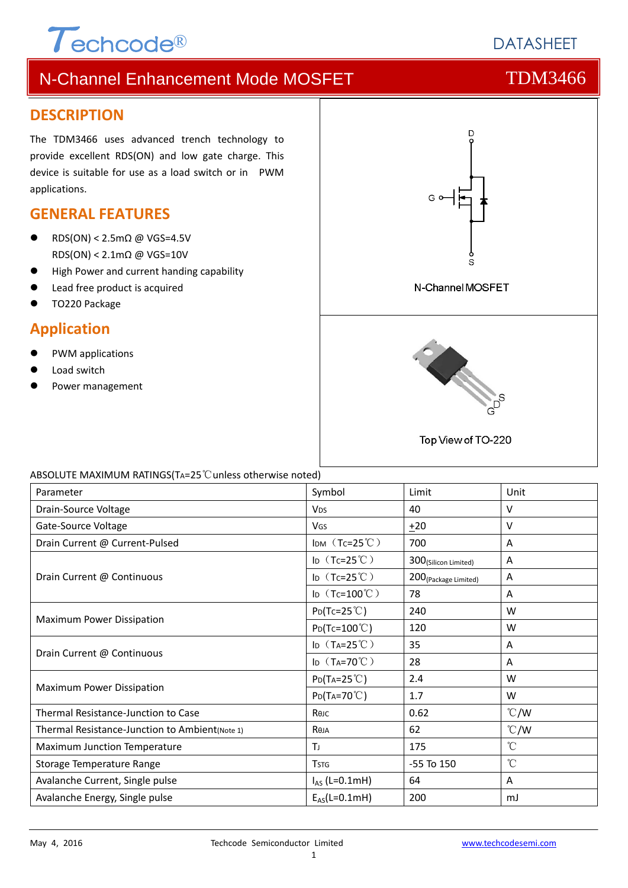# $\tau$ echcode®

# N-Channel Enhancement Mode MOSFET THE TDM3466

### **DESCRIPTION**

The TDM3466 uses advanced trench technology to provide excellent RDS(ON) and low gate charge. This device is suitable for use as a load switch or in PWM applications.

### **GENERAL FEATURES**

- RDS(ON) <  $2.5 \text{mA}$  @ VGS=4.5V RDS(ON) < 2.1mΩ @ VGS=10V
- $\bullet$  High Power and current handing capability
- Lead free product is acquired
- TO220 Package

### **Application**

- PWM applications
- Load switch
- Power management



#### ABSOLUTE MAXIMUM RATINGS(TA=25℃unless otherwise noted)

| Parameter                                       | Symbol                  | Limit                            | Unit            |
|-------------------------------------------------|-------------------------|----------------------------------|-----------------|
| Drain-Source Voltage                            | <b>V<sub>DS</sub></b>   | 40                               | $\vee$          |
| Gate-Source Voltage                             | <b>V<sub>GS</sub></b>   | $+20$                            | $\vee$          |
| Drain Current @ Current-Pulsed                  | IDM $(Tc=25^{\circ}C)$  | 700                              | Α               |
| Drain Current @ Continuous                      | ID $(Tc=25^{\circ}C)$   | 300(Silicon Limited)             | Α               |
|                                                 | ID $(Tc=25^{\circ}C)$   | 200 <sub>(Package Limited)</sub> | Α               |
|                                                 | ID $(Tc=100^{\circ}C)$  | 78                               | A               |
|                                                 | $P_{D}(Tc=25^{\circ}C)$ | 240                              | W               |
| Maximum Power Dissipation                       | $Po(Tc=100^{\circ}C)$   | 120                              | W               |
|                                                 | ID $(T_A=25^{\circ}C)$  | 35                               | A               |
| Drain Current @ Continuous                      | ID $(T_A=70^{\circ}C)$  | 28                               | A               |
| <b>Maximum Power Dissipation</b>                | $P_{D}(Ta=25^{\circ}C)$ | 2.4                              | W               |
|                                                 | $P_{D}(Ta=70^{\circ}C)$ | 1.7                              | W               |
| Thermal Resistance-Junction to Case             | Көлс                    | 0.62                             | $\degree$ C/W   |
| Thermal Resistance-Junction to Ambient (Note 1) | RθJA                    | 62                               | $\degree$ C/W   |
| Maximum Junction Temperature                    | Tı                      | 175                              | $\rm ^{\circ}C$ |
| Storage Temperature Range                       | <b>T</b> <sub>STG</sub> | $-55$ To $150$                   | $\rm ^{\circ}C$ |
| Avalanche Current, Single pulse                 | $I_{AS}$ (L=0.1mH)      | 64                               | A               |
| Avalanche Energy, Single pulse                  | $E_{AS}(L=0.1mH)$       | 200                              | mJ              |

**DATASHEET**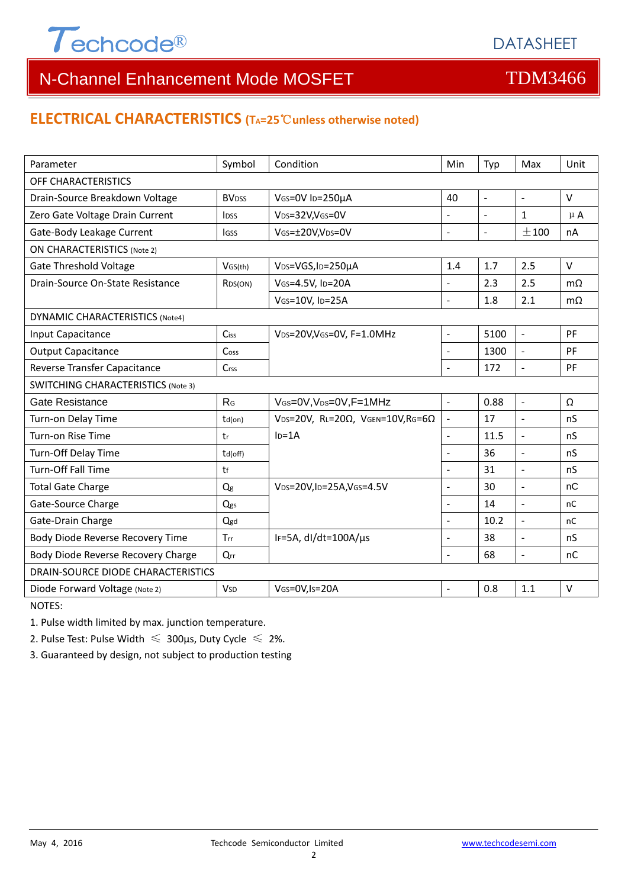

### **ELECTRICAL CHARACTERISTICS (TA=25**℃**unless otherwise noted)**

| Parameter                                 | Symbol                   | Condition                                         | Min                      | Typ            | Max                      | Unit          |  |  |  |
|-------------------------------------------|--------------------------|---------------------------------------------------|--------------------------|----------------|--------------------------|---------------|--|--|--|
| OFF CHARACTERISTICS                       |                          |                                                   |                          |                |                          |               |  |  |  |
| Drain-Source Breakdown Voltage            | <b>BV</b> <sub>DSS</sub> | VGS=0V ID=250µA                                   | 40                       | $\blacksquare$ | $\overline{\phantom{a}}$ | $\vee$        |  |  |  |
| Zero Gate Voltage Drain Current           | <b>l</b> <sub>DSS</sub>  | VDS=32V,VGS=0V                                    | $\overline{a}$           | $\blacksquare$ | $\mathbf{1}$             | $\mu$ A       |  |  |  |
| Gate-Body Leakage Current                 | lgss                     | VGS=±20V,VDS=0V                                   | $\overline{a}$           | $\Box$         | ±100                     | nA            |  |  |  |
| <b>ON CHARACTERISTICS (Note 2)</b>        |                          |                                                   |                          |                |                          |               |  |  |  |
| Gate Threshold Voltage                    | VGS(th)                  | V <sub>DS</sub> =VGS, I <sub>D</sub> =250µA       | 1.4                      | 1.7            | 2.5                      | $\vee$        |  |  |  |
| Drain-Source On-State Resistance          | R <sub>DS</sub> (ON)     | VGS=4.5V, ID=20A                                  | $\overline{a}$           | 2.3            | 2.5                      | $m\Omega$     |  |  |  |
|                                           |                          | VGS=10V, ID=25A                                   | $\overline{a}$           | 1.8            | 2.1                      | $m\Omega$     |  |  |  |
| <b>DYNAMIC CHARACTERISTICS (Note4)</b>    |                          |                                                   |                          |                |                          |               |  |  |  |
| Input Capacitance                         | <b>Ciss</b>              | VDS=20V, VGS=0V, F=1.0MHz                         | $\overline{\phantom{a}}$ | 5100           | $\omega$                 | PF            |  |  |  |
| <b>Output Capacitance</b>                 | Cos <sub>S</sub>         |                                                   |                          | 1300           | ÷,                       | PF            |  |  |  |
| Reverse Transfer Capacitance              | Crss                     |                                                   | L.                       | 172            | $\overline{\phantom{a}}$ | PF            |  |  |  |
| <b>SWITCHING CHARACTERISTICS (Note 3)</b> |                          |                                                   |                          |                |                          |               |  |  |  |
| <b>Gate Resistance</b>                    | R <sub>G</sub>           | VGS=0V, VDS=0V, F=1MHz                            | $\overline{a}$           | 0.88           | $\overline{\phantom{a}}$ | Ω             |  |  |  |
| Turn-on Delay Time                        | $td($ on $)$             | VDS=20V, RL=20 $\Omega$ , VGEN=10V, RG=6 $\Omega$ | $\overline{a}$           | 17             | $\mathbf{r}$             | nS            |  |  |  |
| Turn-on Rise Time                         | tr                       | $In=1A$                                           | $\overline{a}$           | 11.5           | ÷,                       | nS            |  |  |  |
| Turn-Off Delay Time                       | td(off)                  |                                                   |                          | 36             | $\blacksquare$           | nS            |  |  |  |
| <b>Turn-Off Fall Time</b>                 | tf                       |                                                   | L.                       | 31             | $\overline{a}$           | nS            |  |  |  |
| <b>Total Gate Charge</b>                  | Qg                       | VDS=20V,ID=25A,VGS=4.5V                           |                          | 30             | $\overline{a}$           | nC            |  |  |  |
| Gate-Source Charge                        | Qgs                      |                                                   |                          | 14             | $\overline{a}$           | nC            |  |  |  |
| Gate-Drain Charge                         | Qgd                      |                                                   | $\overline{a}$           | 10.2           | $\overline{a}$           | <sub>nC</sub> |  |  |  |
| Body Diode Reverse Recovery Time          | Trr                      | IF=5A, dl/dt=100A/µs                              | $\blacksquare$           | 38             | $\Box$                   | nS            |  |  |  |
| Body Diode Reverse Recovery Charge        | Qrr                      |                                                   | $\overline{a}$           | 68             | $\Box$                   | nC            |  |  |  |
| DRAIN-SOURCE DIODE CHARACTERISTICS        |                          |                                                   |                          |                |                          |               |  |  |  |
| Diode Forward Voltage (Note 2)            | <b>V<sub>SD</sub></b>    | VGS=0V,Is=20A                                     |                          | 0.8            | 1.1                      | $\sf V$       |  |  |  |

NOTES:

1. Pulse width limited by max. junction temperature.

2. Pulse Test: Pulse Width  $\leq 300$ μs, Duty Cycle  $\leq 2\%$ .

3. Guaranteed by design, not subject to production testing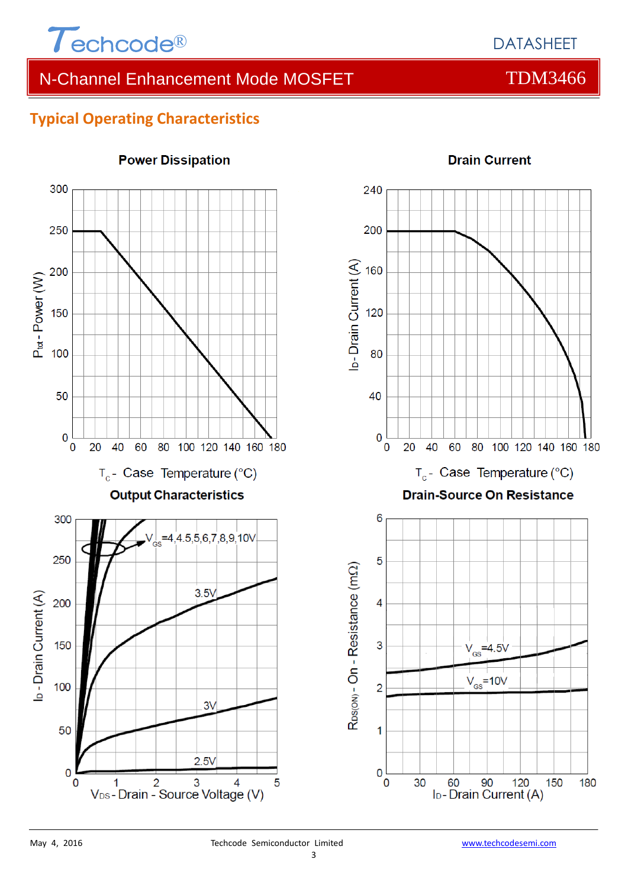

# **Typical Operating Characteristics**



### **Power Dissipation**



## **Drain Current**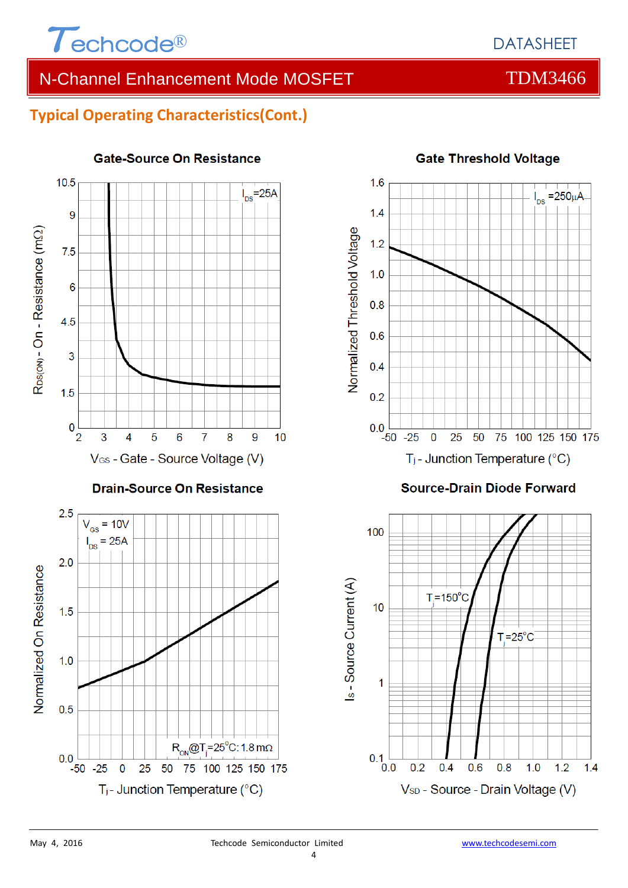

# **Typical Operating Characteristics(Cont.)**



#### **Gate-Source On Resistance**



# **Gate Threshold Voltage**

**Source-Drain Diode Forward** 



 $0<sub>0</sub>$ 

 $-50 - 25$ 

 $\overline{0}$ 

 $R_{ON}$ @T<sub>i</sub>=25°C: 1.8 m $\Omega$ 

25 50 75 100 125 150 175

 $T_j$ - Junction Temperature (°C)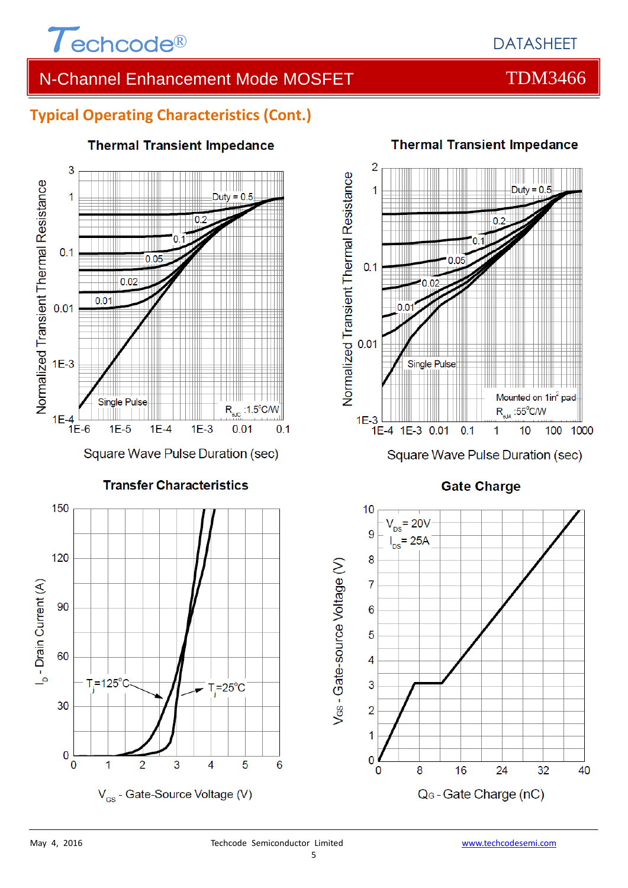

# **Typical Operating Characteristics (Cont.)**



### **Thermal Transient Impedance**



**Thermal Transient Impedance** 

Square Wave Pulse Duration (sec)

### **Gate Charge**



30

 $\bf{0}$ 

 $\overline{0}$ 

 $T=125^\circ$ 

 $\overline{1}$ 

 $\overline{2}$ 

3

V<sub>GS</sub> - Gate-Source Voltage (V)

6

 $T = 25^{\circ}$ C

4

5

#### 5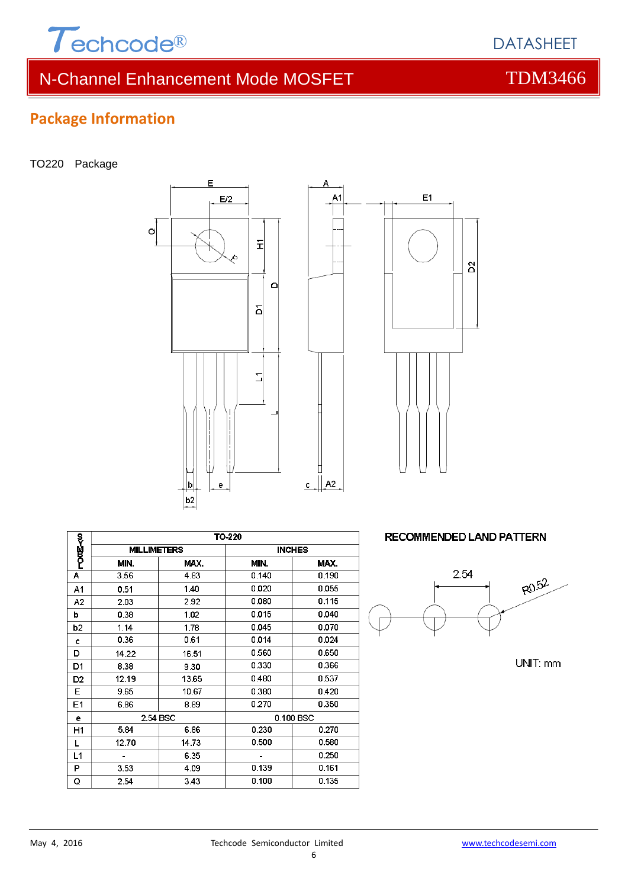

6

# **Package Information**

TO220 Package

**POILE-50** 

 $\overline{A}$ 

 $A<sub>1</sub>$ 

 $A2$ 

b

 $\overline{b2}$ 

c

D

 $D1$ 

D<sub>2</sub>

 $E$ 

E<sub>1</sub>

 $\mathbf{e}$ 

 $H1$ 

 $\mathsf L$ 

 $L1$ 

 $\overline{\mathsf{P}}$ 

Q



**TO-220** 

MIN.

 $0.140$ 

 $0.020$ 

0.080

 $0.015$ 

0.045

 $0.014$ 

0.560

0.330

 $0.480$ 

0.380

0.270

 $0.230$ 

 $0.500$ 

 $\overline{a}$ 

 $0.139$ 

 $0.100$ 

 $MAX$ .

 $4.83$ 

 $1.40$  $2.92$ 

1.02

 $1.78$ 

 $0.61$ 

16.51

 $9.30$ 

13.65  $10.67$ 

8.89

 $6.86$ 

14.73

6.35

 $4.09$ 

3.43

**INCHES** 

0.100 BSC

MAX.

 $0.190$ 

 $0.055$ 

 $0.115$ 

 $0.040$ 

0.070

 $0.024$ 

 $0.650$ 

0.366

 $0.537$ 

 $0.420$ 

0.350

0.270

0.580

 $0.250$ 

 $0.161$ 

0.135

**MILLIMETERS** 

 $MIN$ 

 $3.56$ 

0.51

2.03

0.38

 $1.14$ 

 $0.36$ 

14.22

8.38

 $12.19$ 

 $9.65$ 

6.86

 $5.84$ 

12.70

 $3.53$ 

2.54

l,

2.54 BSC



| RECOMMENDED LAND PATTERN |  |
|--------------------------|--|



UNIT: mm